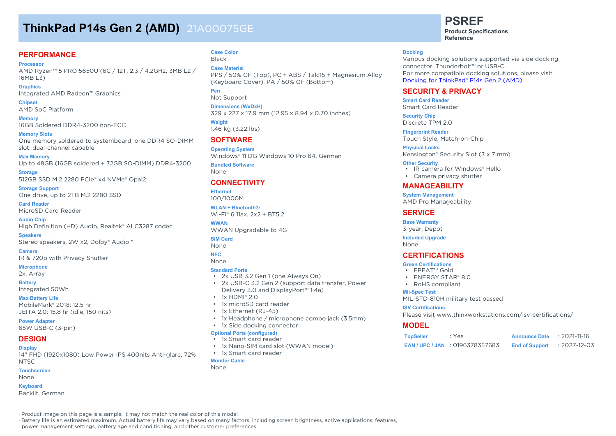# **ThinkPad P14s Gen 2 (AMD)** 21A00075GE

#### **PERFORMANCE**

**Processor** AMD Ryzen™ 5 PRO 5650U (6C / 12T, 2.3 / 4.2GHz, 3MB L2 / 16MB L3)

**Graphics** Integrated AMD Radeon™ Graphics

**Chipset** AMD SoC Platform

**Memory** 16GB Soldered DDR4-3200 non-ECC

**Memory Slots** One memory soldered to systemboard, one DDR4 SO-DIMM slot, dual-channel capable

**Max Memory** Up to 48GB (16GB soldered + 32GB SO-DIMM) DDR4-3200

**Storage** 512GB SSD M.2 2280 PCIe® x4 NVMe® Opal2

**Storage Support** One drive, up to 2TB M.2 2280 SSD

**Card Reader** MicroSD Card Reader

**Audio Chip** High Definition (HD) Audio, Realtek® ALC3287 codec

**Speakers** Stereo speakers, 2W x2, Dolby® Audio™

**Camera** IR & 720p with Privacy Shutter

**Microphone** 2x, Array

**Battery**

Integrated 50Wh

**Max Battery Life** MobileMark® 2018: 12.5 hr JEITA 2.0: 15.8 hr (idle, 150 nits)

**Power Adapter** 65W USB-C (3-pin)

#### **DESIGN**

**Display**

14" FHD (1920x1080) Low Power IPS 400nits Anti-glare, 72% NTSC

**Touchscreen**

None

**Keyboard**

Backlit, German

#### **Case Color** Black

**Case Material**

PPS / 50% GF (Top), PC + ABS / Talc15 + Magnesium Alloy (Keyboard Cover), PA / 50% GF (Bottom)

**Pen** Not Support

**Dimensions (WxDxH)** 329 x 227 x 17.9 mm (12.95 x 8.94 x 0.70 inches)

**Weight** 1.46 kg (3.22 lbs)

#### **SOFTWARE**

**Operating System** Windows® 11 DG Windows 10 Pro 64, German

**Bundled Software** None

#### **CONNECTIVITY**

**Ethernet** 100/1000M

**WLAN + Bluetooth®** Wi-Fi® 6 11ax, 2x2 + BT5.2

**WWAN** WWAN Upgradable to 4G

**SIM Card** None

#### **NFC** None

#### **Standard Ports**

- 2x USB 3.2 Gen 1 (one Always On)
- 2x USB-C 3.2 Gen 2 (support data transfer, Power Delivery 3.0 and DisplayPort™ 1.4a)
- $\cdot$  1x HDMI® 2.0
- 1x microSD card reader
- 1x Ethernet (RJ-45)
- 1x Headphone / microphone combo jack (3.5mm)
- 1x Side docking connector

#### **Optional Ports (configured)**

- 1x Smart card reader
- 1x Nano-SIM card slot (WWAN model)

• 1x Smart card reader

**Monitor Cable**

None

# **PSREF**

**Product Specifications Reference**

#### **Docking**

Various docking solutions supported via side docking connector, Thunderbolt™ or USB-C. For more compatible docking solutions, please visit Docking for ThinkPad® P14s Gen 2 (AMD)

#### **SECURITY & PRIVACY**

**Smart Card Reader** Smart Card Reader

**Security Chip** Discrete TPM 2.0

**Fingerprint Reader** Touch Style, Match-on-Chip

**Physical Locks** Kensington® Security Slot (3 x 7 mm)

#### **Other Security**

- IR camera for Windows® Hello
- Camera privacy shutter

#### **MANAGEABILITY**

**System Management** AMD Pro Manageability

#### **SERVICE**

**Base Warranty**

3-year, Depot

**Included Upgrade** None

#### **CERTIFICATIONS**

**Green Certifications**

- EPEAT™ Gold
- ENERGY STAR® 8.0
- RoHS compliant

#### **Mil-Spec Test**

MIL-STD-810H military test passed

#### **ISV Certifications**

Please visit www.thinkworkstations.com/isv-certifications/

#### **MODEL**

| <b>TopSeller</b> | : Yes                              | <b>Announce Date</b>  | $: 2021 - 11 - 16$ |
|------------------|------------------------------------|-----------------------|--------------------|
|                  | <b>EAN/UPC/JAN : 0196378357683</b> | <b>End of Support</b> | :2027-12-03        |

· Product image on this page is a sample, it may not match the real color of this model

· Battery life is an estimated maximum. Actual battery life may vary based on many factors, including screen brightness, active applications, features,

power management settings, battery age and conditioning, and other customer preferences